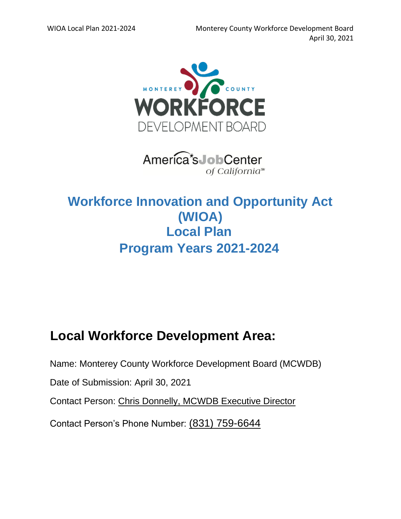

America's JobCenter of California<sup>™</sup>

# **Workforce Innovation and Opportunity Act (WIOA) Local Plan Program Years 2021-2024**

# **Local Workforce Development Area:**

Name: Monterey County Workforce Development Board (MCWDB)

Date of Submission: April 30, 2021

Contact Person: Chris Donnelly, MCWDB Executive Director

Contact Person's Phone Number: (831) 759-6644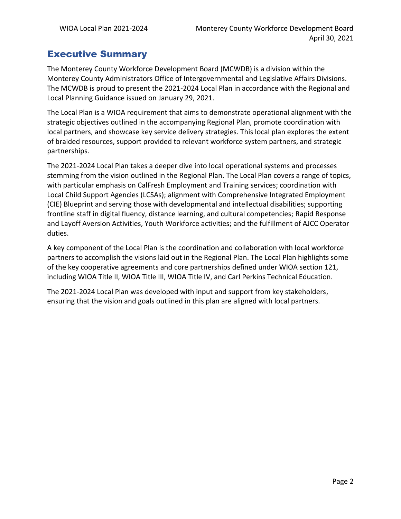### Executive Summary

The Monterey County Workforce Development Board (MCWDB) is a division within the Monterey County Administrators Office of Intergovernmental and Legislative Affairs Divisions. The MCWDB is proud to present the 2021-2024 Local Plan in accordance with the Regional and Local Planning Guidance issued on January 29, 2021.

The Local Plan is a WIOA requirement that aims to demonstrate operational alignment with the strategic objectives outlined in the accompanying Regional Plan, promote coordination with local partners, and showcase key service delivery strategies. This local plan explores the extent of braided resources, support provided to relevant workforce system partners, and strategic partnerships.

The 2021-2024 Local Plan takes a deeper dive into local operational systems and processes stemming from the vision outlined in the Regional Plan. The Local Plan covers a range of topics, with particular emphasis on CalFresh Employment and Training services; coordination with Local Child Support Agencies (LCSAs); alignment with Comprehensive Integrated Employment (CIE) Blueprint and serving those with developmental and intellectual disabilities; supporting frontline staff in digital fluency, distance learning, and cultural competencies; Rapid Response and Layoff Aversion Activities, Youth Workforce activities; and the fulfillment of AJCC Operator duties.

A key component of the Local Plan is the coordination and collaboration with local workforce partners to accomplish the visions laid out in the Regional Plan. The Local Plan highlights some of the key cooperative agreements and core partnerships defined under WIOA section 121, including WIOA Title II, WIOA Title III, WIOA Title IV, and Carl Perkins Technical Education.

The 2021-2024 Local Plan was developed with input and support from key stakeholders, ensuring that the vision and goals outlined in this plan are aligned with local partners.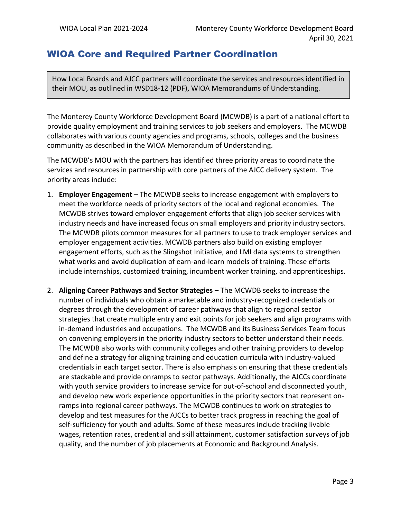#### WIOA Core and Required Partner Coordination

How Local Boards and AJCC partners will coordinate the services and resources identified in their MOU, as outlined in WSD18-12 (PDF), WIOA Memorandums of Understanding.

The Monterey County Workforce Development Board (MCWDB) is a part of a national effort to provide quality employment and training services to job seekers and employers. The MCWDB collaborates with various county agencies and programs, schools, colleges and the business community as described in the WIOA Memorandum of Understanding.

The MCWDB's MOU with the partners has identified three priority areas to coordinate the services and resources in partnership with core partners of the AJCC delivery system. The priority areas include:

- 1. **Employer Engagement** The MCWDB seeks to increase engagement with employers to meet the workforce needs of priority sectors of the local and regional economies. The MCWDB strives toward employer engagement efforts that align job seeker services with industry needs and have increased focus on small employers and priority industry sectors. The MCWDB pilots common measures for all partners to use to track employer services and employer engagement activities. MCWDB partners also build on existing employer engagement efforts, such as the Slingshot Initiative, and LMI data systems to strengthen what works and avoid duplication of earn-and-learn models of training. These efforts include internships, customized training, incumbent worker training, and apprenticeships.
- 2. **Aligning Career Pathways and Sector Strategies** The MCWDB seeks to increase the number of individuals who obtain a marketable and industry-recognized credentials or degrees through the development of career pathways that align to regional sector strategies that create multiple entry and exit points for job seekers and align programs with in-demand industries and occupations. The MCWDB and its Business Services Team focus on convening employers in the priority industry sectors to better understand their needs. The MCWDB also works with community colleges and other training providers to develop and define a strategy for aligning training and education curricula with industry-valued credentials in each target sector. There is also emphasis on ensuring that these credentials are stackable and provide onramps to sector pathways. Additionally, the AJCCs coordinate with youth service providers to increase service for out-of-school and disconnected youth, and develop new work experience opportunities in the priority sectors that represent onramps into regional career pathways. The MCWDB continues to work on strategies to develop and test measures for the AJCCs to better track progress in reaching the goal of self-sufficiency for youth and adults. Some of these measures include tracking livable wages, retention rates, credential and skill attainment, customer satisfaction surveys of job quality, and the number of job placements at Economic and Background Analysis.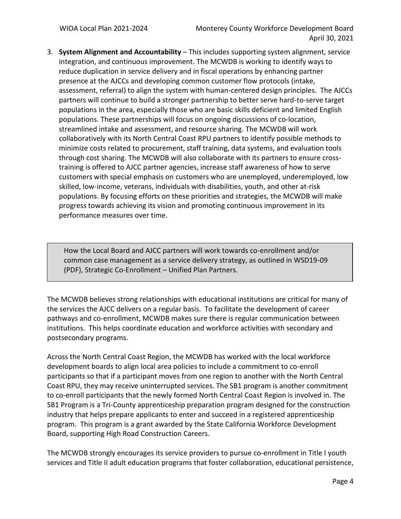3. **System Alignment and Accountability** – This includes supporting system alignment, service integration, and continuous improvement. The MCWDB is working to identify ways to reduce duplication in service delivery and in fiscal operations by enhancing partner presence at the AJCCs and developing common customer flow protocols (intake, assessment, referral) to align the system with human-centered design principles. The AJCCs partners will continue to build a stronger partnership to better serve hard-to-serve target populations in the area, especially those who are basic skills deficient and limited English populations. These partnerships will focus on ongoing discussions of co-location, streamlined intake and assessment, and resource sharing. The MCWDB will work collaboratively with its North Central Coast RPU partners to identify possible methods to minimize costs related to procurement, staff training, data systems, and evaluation tools through cost sharing. The MCWDB will also collaborate with its partners to ensure crosstraining is offered to AJCC partner agencies, increase staff awareness of how to serve customers with special emphasis on customers who are unemployed, underemployed, low skilled, low-income, veterans, individuals with disabilities, youth, and other at-risk populations. By focusing efforts on these priorities and strategies, the MCWDB will make progress towards achieving its vision and promoting continuous improvement in its performance measures over time.

How the Local Board and AJCC partners will work towards co-enrollment and/or common case management as a service delivery strategy, as outlined in WSD19-09 (PDF), Strategic Co-Enrollment – Unified Plan Partners.

The MCWDB believes strong relationships with educational institutions are critical for many of the services the AJCC delivers on a regular basis. To facilitate the development of career pathways and co-enrollment, MCWDB makes sure there is regular communication between institutions. This helps coordinate education and workforce activities with secondary and postsecondary programs.

Across the North Central Coast Region, the MCWDB has worked with the local workforce development boards to align local area policies to include a commitment to co-enroll participants so that if a participant moves from one region to another with the North Central Coast RPU, they may receive uninterrupted services. The SB1 program is another commitment to co-enroll participants that the newly formed North Central Coast Region is involved in. The SB1 Program is a Tri-County apprenticeship preparation program designed for the construction industry that helps prepare applicants to enter and succeed in a registered apprenticeship program. This program is a grant awarded by the State California Workforce Development Board, supporting High Road Construction Careers.

The MCWDB strongly encourages its service providers to pursue co-enrollment in Title I youth services and Title II adult education programs that foster collaboration, educational persistence,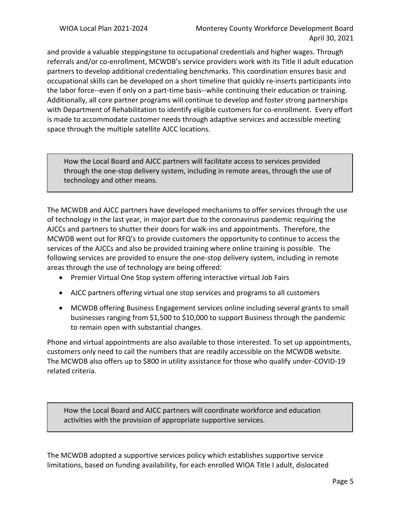and provide a valuable steppingstone to occupational credentials and higher wages. Through referrals and/or co-enrollment, MCWDB's service providers work with its Title II adult education partners to develop additional credentialing benchmarks. This coordination ensures basic and occupational skills can be developed on a short timeline that quickly re-inserts participants into the labor force--even if only on a part-time basis--while continuing their education or training. Additionally, all core partner programs will continue to develop and foster strong partnerships with Department of Rehabilitation to identify eligible customers for co-enrollment. Every effort is made to accommodate customer needs through adaptive services and accessible meeting space through the multiple satellite AJCC locations.

How the Local Board and AJCC partners will facilitate access to services provided through the one-stop delivery system, including in remote areas, through the use of technology and other means.

The MCWDB and AJCC partners have developed mechanisms to offer services through the use of technology in the last year, in major part due to the coronavirus pandemic requiring the AJCCs and partners to shutter their doors for walk-ins and appointments. Therefore, the MCWDB went out for RFQ's to provide customers the opportunity to continue to access the services of the AJCCs and also be provided training where online training is possible. The following services are provided to ensure the one-stop delivery system, including in remote areas through the use of technology are being offered:

- Premier Virtual One Stop system offering interactive virtual Job Fairs
- AJCC partners offering virtual one stop services and programs to all customers
- MCWDB offering Business Engagement services online including several grants to small businesses ranging from \$1,500 to \$10,000 to support Business through the pandemic to remain open with substantial changes.

Phone and virtual appointments are also available to those interested. To set up appointments, customers only need to call the numbers that are readily accessible on the MCWDB website. The MCWDB also offers up to \$800 in utility assistance for those who qualify under-COVID-19 related criteria.

How the Local Board and AJCC partners will coordinate workforce and education activities with the provision of appropriate supportive services.

The MCWDB adopted a supportive services policy which establishes supportive service limitations, based on funding availability, for each enrolled WIOA Title I adult, dislocated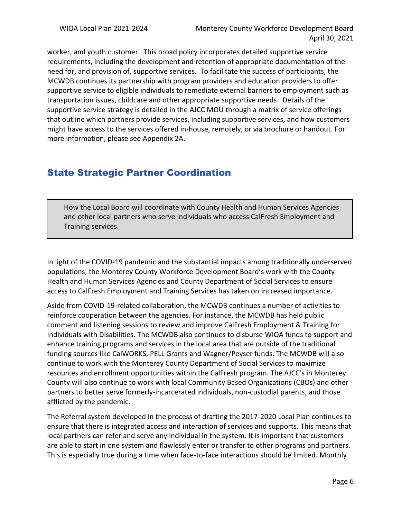worker, and youth customer. This broad policy incorporates detailed supportive service requirements, including the development and retention of appropriate documentation of the need for, and provision of, supportive services. To facilitate the success of participants, the MCWDB continues its partnership with program providers and education providers to offer supportive service to eligible individuals to remediate external barriers to employment such as transportation issues, childcare and other appropriate supportive needs. Details of the supportive service strategy is detailed in the AJCC MOU through a matrix of service offerings that outline which partners provide services, including supportive services, and how customers might have access to the services offered in-house, remotely, or via brochure or handout. For more information, please see Appendix 2A.

#### State Strategic Partner Coordination

How the Local Board will coordinate with County Health and Human Services Agencies and other local partners who serve individuals who access CalFresh Employment and Training services.

In light of the COVID-19 pandemic and the substantial impacts among traditionally underserved populations, the Monterey County Workforce Development Board's work with the County Health and Human Services Agencies and County Department of Social Services to ensure access to CalFresh Employment and Training Services has taken on increased importance.

Aside from COVID-19-related collaboration, the MCWDB continues a number of activities to reinforce cooperation between the agencies. For instance, the MCWDB has held public comment and listening sessions to review and improve CalFresh Employment & Training for Individuals with Disabilities. The MCWDB also continues to disburse WIOA funds to support and enhance training programs and services in the local area that are outside of the traditional funding sources like CalWORKS, PELL Grants and Wagner/Peyser funds. The MCWDB will also continue to work with the Monterey County Department of Social Services to maximize resources and enrollment opportunities within the CalFresh program. The AJCC's in Monterey County will also continue to work with local Community Based Organizations (CBOs) and other partners to better serve formerly-incarcerated individuals, non-custodial parents, and those afflicted by the pandemic.

The Referral system developed in the process of drafting the 2017-2020 Local Plan continues to ensure that there is integrated access and interaction of services and supports. This means that local partners can refer and serve any individual in the system. It is important that customers are able to start in one system and flawlessly enter or transfer to other programs and partners. This is especially true during a time when face-to-face interactions should be limited. Monthly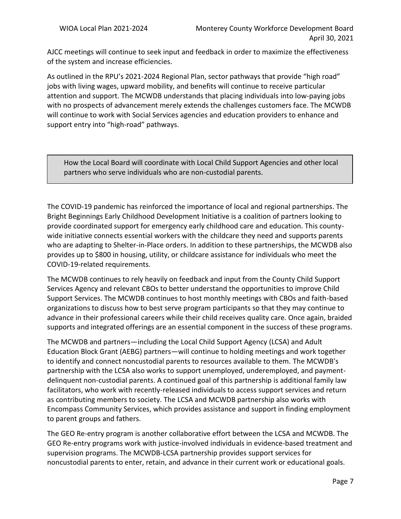AJCC meetings will continue to seek input and feedback in order to maximize the effectiveness of the system and increase efficiencies.

As outlined in the RPU's 2021-2024 Regional Plan, sector pathways that provide "high road" jobs with living wages, upward mobility, and benefits will continue to receive particular attention and support. The MCWDB understands that placing individuals into low-paying jobs with no prospects of advancement merely extends the challenges customers face. The MCWDB will continue to work with Social Services agencies and education providers to enhance and support entry into "high-road" pathways.

How the Local Board will coordinate with Local Child Support Agencies and other local partners who serve individuals who are non-custodial parents.

The COVID-19 pandemic has reinforced the importance of local and regional partnerships. The Bright Beginnings Early Childhood Development Initiative is a coalition of partners looking to provide coordinated support for emergency early childhood care and education. This countywide initiative connects essential workers with the childcare they need and supports parents who are adapting to Shelter-in-Place orders. In addition to these partnerships, the MCWDB also provides up to \$800 in housing, utility, or childcare assistance for individuals who meet the COVID-19-related requirements.

The MCWDB continues to rely heavily on feedback and input from the County Child Support Services Agency and relevant CBOs to better understand the opportunities to improve Child Support Services. The MCWDB continues to host monthly meetings with CBOs and faith-based organizations to discuss how to best serve program participants so that they may continue to advance in their professional careers while their child receives quality care. Once again, braided supports and integrated offerings are an essential component in the success of these programs.

The MCWDB and partners—including the Local Child Support Agency (LCSA) and Adult Education Block Grant (AEBG) partners—will continue to holding meetings and work together to identify and connect noncustodial parents to resources available to them. The MCWDB's partnership with the LCSA also works to support unemployed, underemployed, and paymentdelinquent non-custodial parents. A continued goal of this partnership is additional family law facilitators, who work with recently-released individuals to access support services and return as contributing members to society. The LCSA and MCWDB partnership also works with Encompass Community Services, which provides assistance and support in finding employment to parent groups and fathers.

The GEO Re-entry program is another collaborative effort between the LCSA and MCWDB. The GEO Re-entry programs work with justice-involved individuals in evidence-based treatment and supervision programs. The MCWDB-LCSA partnership provides support services for noncustodial parents to enter, retain, and advance in their current work or educational goals.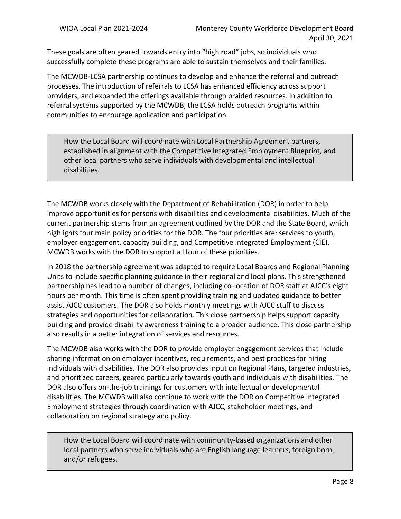These goals are often geared towards entry into "high road" jobs, so individuals who successfully complete these programs are able to sustain themselves and their families.

The MCWDB-LCSA partnership continues to develop and enhance the referral and outreach processes. The introduction of referrals to LCSA has enhanced efficiency across support providers, and expanded the offerings available through braided resources. In addition to referral systems supported by the MCWDB, the LCSA holds outreach programs within communities to encourage application and participation.

How the Local Board will coordinate with Local Partnership Agreement partners, established in alignment with the Competitive Integrated Employment Blueprint, and other local partners who serve individuals with developmental and intellectual disabilities.

The MCWDB works closely with the Department of Rehabilitation (DOR) in order to help improve opportunities for persons with disabilities and developmental disabilities. Much of the current partnership stems from an agreement outlined by the DOR and the State Board, which highlights four main policy priorities for the DOR. The four priorities are: services to youth, employer engagement, capacity building, and Competitive Integrated Employment (CIE). MCWDB works with the DOR to support all four of these priorities.

In 2018 the partnership agreement was adapted to require Local Boards and Regional Planning Units to include specific planning guidance in their regional and local plans. This strengthened partnership has lead to a number of changes, including co-location of DOR staff at AJCC's eight hours per month. This time is often spent providing training and updated guidance to better assist AJCC customers. The DOR also holds monthly meetings with AJCC staff to discuss strategies and opportunities for collaboration. This close partnership helps support capacity building and provide disability awareness training to a broader audience. This close partnership also results in a better integration of services and resources.

The MCWDB also works with the DOR to provide employer engagement services that include sharing information on employer incentives, requirements, and best practices for hiring individuals with disabilities. The DOR also provides input on Regional Plans, targeted industries, and prioritized careers, geared particularly towards youth and individuals with disabilities. The DOR also offers on-the-job trainings for customers with intellectual or developmental disabilities. The MCWDB will also continue to work with the DOR on Competitive Integrated Employment strategies through coordination with AJCC, stakeholder meetings, and collaboration on regional strategy and policy.

How the Local Board will coordinate with community-based organizations and other local partners who serve individuals who are English language learners, foreign born, and/or refugees.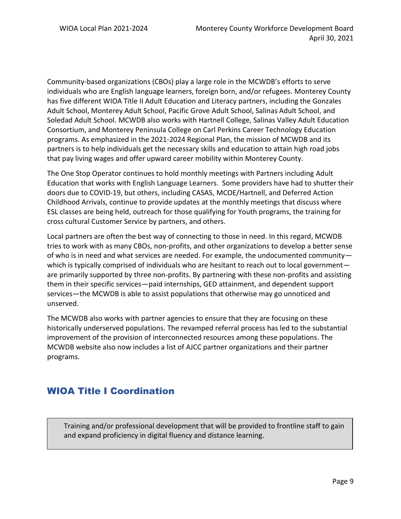Community-based organizations (CBOs) play a large role in the MCWDB's efforts to serve individuals who are English language learners, foreign born, and/or refugees. Monterey County has five different WIOA Title II Adult Education and Literacy partners, including the Gonzales Adult School, Monterey Adult School, Pacific Grove Adult School, Salinas Adult School, and Soledad Adult School. MCWDB also works with Hartnell College, Salinas Valley Adult Education Consortium, and Monterey Peninsula College on Carl Perkins Career Technology Education programs. As emphasized in the 2021-2024 Regional Plan, the mission of MCWDB and its partners is to help individuals get the necessary skills and education to attain high road jobs that pay living wages and offer upward career mobility within Monterey County.

The One Stop Operator continues to hold monthly meetings with Partners including Adult Education that works with English Language Learners. Some providers have had to shutter their doors due to COVID-19, but others, including CASAS, MCOE/Hartnell, and Deferred Action Childhood Arrivals, continue to provide updates at the monthly meetings that discuss where ESL classes are being held, outreach for those qualifying for Youth programs, the training for cross cultural Customer Service by partners, and others.

Local partners are often the best way of connecting to those in need. In this regard, MCWDB tries to work with as many CBOs, non-profits, and other organizations to develop a better sense of who is in need and what services are needed. For example, the undocumented community which is typically comprised of individuals who are hesitant to reach out to local government are primarily supported by three non-profits. By partnering with these non-profits and assisting them in their specific services—paid internships, GED attainment, and dependent support services—the MCWDB is able to assist populations that otherwise may go unnoticed and unserved.

The MCWDB also works with partner agencies to ensure that they are focusing on these historically underserved populations. The revamped referral process has led to the substantial improvement of the provision of interconnected resources among these populations. The MCWDB website also now includes a list of AJCC partner organizations and their partner programs.

### WIOA Title I Coordination

Training and/or professional development that will be provided to frontline staff to gain and expand proficiency in digital fluency and distance learning.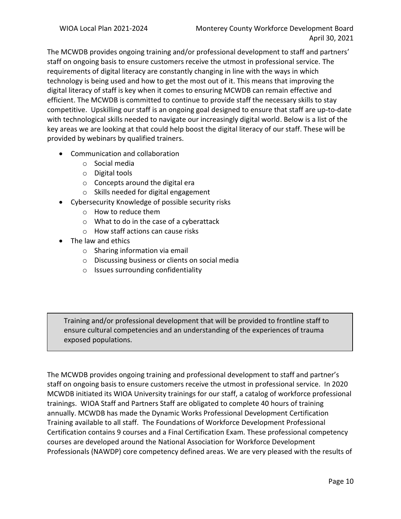The MCWDB provides ongoing training and/or professional development to staff and partners' staff on ongoing basis to ensure customers receive the utmost in professional service. The requirements of digital literacy are constantly changing in line with the ways in which technology is being used and how to get the most out of it. This means that improving the digital literacy of staff is key when it comes to ensuring MCWDB can remain effective and efficient. The MCWDB is committed to continue to provide staff the necessary skills to stay competitive. Upskilling our staff is an ongoing goal designed to ensure that staff are up-to-date with technological skills needed to navigate our increasingly digital world. Below is a list of the key areas we are looking at that could help boost the digital literacy of our staff. These will be provided by webinars by qualified trainers.

- Communication and collaboration
	- o Social media
	- o Digital tools
	- $\circ$  Concepts around the digital era
	- o Skills needed for digital engagement
- Cybersecurity Knowledge of possible security risks
	- o How to reduce them
	- o What to do in the case of a cyberattack
	- o How staff actions can cause risks
- The law and ethics
	- o Sharing information via email
	- o Discussing business or clients on social media
	- o Issues surrounding confidentiality

Training and/or professional development that will be provided to frontline staff to ensure cultural competencies and an understanding of the experiences of trauma exposed populations.

The MCWDB provides ongoing training and professional development to staff and partner's staff on ongoing basis to ensure customers receive the utmost in professional service. In 2020 MCWDB initiated its WIOA University trainings for our staff, a catalog of workforce professional trainings. WIOA Staff and Partners Staff are obligated to complete 40 hours of training annually. MCWDB has made the Dynamic Works Professional Development Certification Training available to all staff. The Foundations of Workforce Development Professional Certification contains 9 courses and a Final Certification Exam. These professional competency courses are developed around the National Association for Workforce Development Professionals (NAWDP) core competency defined areas. We are very pleased with the results of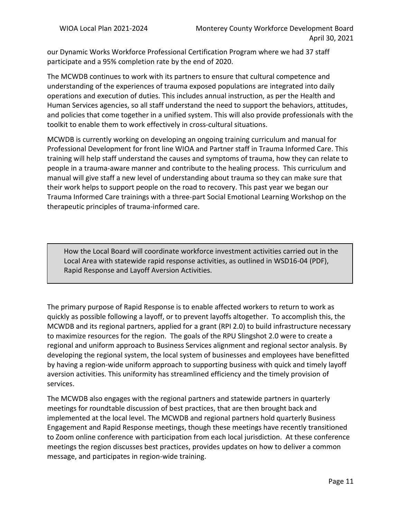our Dynamic Works Workforce Professional Certification Program where we had 37 staff participate and a 95% completion rate by the end of 2020.

The MCWDB continues to work with its partners to ensure that cultural competence and understanding of the experiences of trauma exposed populations are integrated into daily operations and execution of duties. This includes annual instruction, as per the Health and Human Services agencies, so all staff understand the need to support the behaviors, attitudes, and policies that come together in a unified system. This will also provide professionals with the toolkit to enable them to work effectively in cross-cultural situations.

MCWDB is currently working on developing an ongoing training curriculum and manual for Professional Development for front line WIOA and Partner staff in Trauma Informed Care. This training will help staff understand the causes and symptoms of trauma, how they can relate to people in a trauma-aware manner and contribute to the healing process. This curriculum and manual will give staff a new level of understanding about trauma so they can make sure that their work helps to support people on the road to recovery. This past year we began our Trauma Informed Care trainings with a three-part Social Emotional Learning Workshop on the therapeutic principles of trauma-informed care.

How the Local Board will coordinate workforce investment activities carried out in the Local Area with statewide rapid response activities, as outlined in WSD16-04 (PDF), Rapid Response and Layoff Aversion Activities.

The primary purpose of Rapid Response is to enable affected workers to return to work as quickly as possible following a layoff, or to prevent layoffs altogether. To accomplish this, the MCWDB and its regional partners, applied for a grant (RPI 2.0) to build infrastructure necessary to maximize resources for the region. The goals of the RPU Slingshot 2.0 were to create a regional and uniform approach to Business Services alignment and regional sector analysis. By developing the regional system, the local system of businesses and employees have benefitted by having a region-wide uniform approach to supporting business with quick and timely layoff aversion activities. This uniformity has streamlined efficiency and the timely provision of services.

The MCWDB also engages with the regional partners and statewide partners in quarterly meetings for roundtable discussion of best practices, that are then brought back and implemented at the local level. The MCWDB and regional partners hold quarterly Business Engagement and Rapid Response meetings, though these meetings have recently transitioned to Zoom online conference with participation from each local jurisdiction. At these conference meetings the region discusses best practices, provides updates on how to deliver a common message, and participates in region-wide training.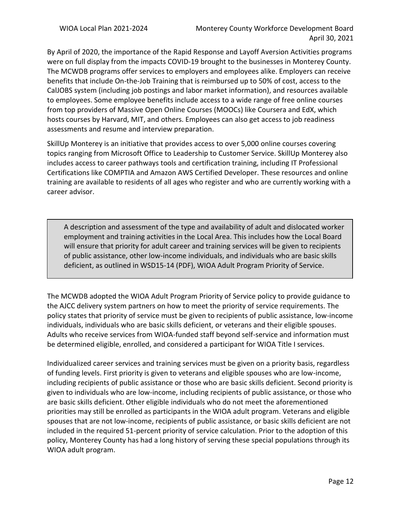By April of 2020, the importance of the Rapid Response and Layoff Aversion Activities programs were on full display from the impacts COVID-19 brought to the businesses in Monterey County. The MCWDB programs offer services to employers and employees alike. Employers can receive benefits that include On-the-Job Training that is reimbursed up to 50% of cost, access to the CalJOBS system (including job postings and labor market information), and resources available to employees. Some employee benefits include access to a wide range of free online courses from top providers of Massive Open Online Courses (MOOCs) like Coursera and EdX, which hosts courses by Harvard, MIT, and others. Employees can also get access to job readiness assessments and resume and interview preparation.

SkillUp Monterey is an initiative that provides access to over 5,000 online courses covering topics ranging from Microsoft Office to Leadership to Customer Service. SkillUp Monterey also includes access to career pathways tools and certification training, including IT Professional Certifications like COMPTIA and Amazon AWS Certified Developer. These resources and online training are available to residents of all ages who register and who are currently working with a career advisor.

A description and assessment of the type and availability of adult and dislocated worker employment and training activities in the Local Area. This includes how the Local Board will ensure that priority for adult career and training services will be given to recipients of public assistance, other low-income individuals, and individuals who are basic skills deficient, as outlined in WSD15-14 (PDF), WIOA Adult Program Priority of Service.

The MCWDB adopted the WIOA Adult Program Priority of Service policy to provide guidance to the AJCC delivery system partners on how to meet the priority of service requirements. The policy states that priority of service must be given to recipients of public assistance, low-income individuals, individuals who are basic skills deficient, or veterans and their eligible spouses. Adults who receive services from WIOA-funded staff beyond self-service and information must be determined eligible, enrolled, and considered a participant for WIOA Title I services.

Individualized career services and training services must be given on a priority basis, regardless of funding levels. First priority is given to veterans and eligible spouses who are low-income, including recipients of public assistance or those who are basic skills deficient. Second priority is given to individuals who are low-income, including recipients of public assistance, or those who are basic skills deficient. Other eligible individuals who do not meet the aforementioned priorities may still be enrolled as participants in the WIOA adult program. Veterans and eligible spouses that are not low-income, recipients of public assistance, or basic skills deficient are not included in the required 51-percent priority of service calculation. Prior to the adoption of this policy, Monterey County has had a long history of serving these special populations through its WIOA adult program.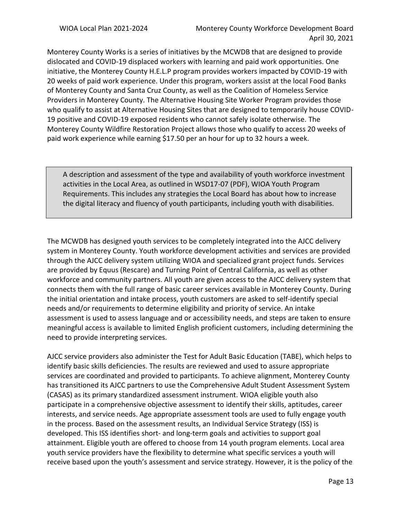Monterey County Works is a series of initiatives by the MCWDB that are designed to provide dislocated and COVID-19 displaced workers with learning and paid work opportunities. One initiative, the Monterey County H.E.L.P program provides workers impacted by COVID-19 with 20 weeks of paid work experience. Under this program, workers assist at the local Food Banks of Monterey County and Santa Cruz County, as well as the Coalition of Homeless Service Providers in Monterey County. The Alternative Housing Site Worker Program provides those who qualify to assist at Alternative Housing Sites that are designed to temporarily house COVID-19 positive and COVID-19 exposed residents who cannot safely isolate otherwise. The Monterey County Wildfire Restoration Project allows those who qualify to access 20 weeks of paid work experience while earning \$17.50 per an hour for up to 32 hours a week.

A description and assessment of the type and availability of youth workforce investment activities in the Local Area, as outlined in WSD17-07 (PDF), WIOA Youth Program Requirements. This includes any strategies the Local Board has about how to increase the digital literacy and fluency of youth participants, including youth with disabilities.

The MCWDB has designed youth services to be completely integrated into the AJCC delivery system in Monterey County. Youth workforce development activities and services are provided through the AJCC delivery system utilizing WIOA and specialized grant project funds. Services are provided by Equus (Rescare) and Turning Point of Central California, as well as other workforce and community partners. All youth are given access to the AJCC delivery system that connects them with the full range of basic career services available in Monterey County. During the initial orientation and intake process, youth customers are asked to self-identify special needs and/or requirements to determine eligibility and priority of service. An intake assessment is used to assess language and or accessibility needs, and steps are taken to ensure meaningful access is available to limited English proficient customers, including determining the need to provide interpreting services.

AJCC service providers also administer the Test for Adult Basic Education (TABE), which helps to identify basic skills deficiencies. The results are reviewed and used to assure appropriate services are coordinated and provided to participants. To achieve alignment, Monterey County has transitioned its AJCC partners to use the Comprehensive Adult Student Assessment System (CASAS) as its primary standardized assessment instrument. WIOA eligible youth also participate in a comprehensive objective assessment to identify their skills, aptitudes, career interests, and service needs. Age appropriate assessment tools are used to fully engage youth in the process. Based on the assessment results, an Individual Service Strategy (ISS) is developed. This ISS identifies short- and long-term goals and activities to support goal attainment. Eligible youth are offered to choose from 14 youth program elements. Local area youth service providers have the flexibility to determine what specific services a youth will receive based upon the youth's assessment and service strategy. However, it is the policy of the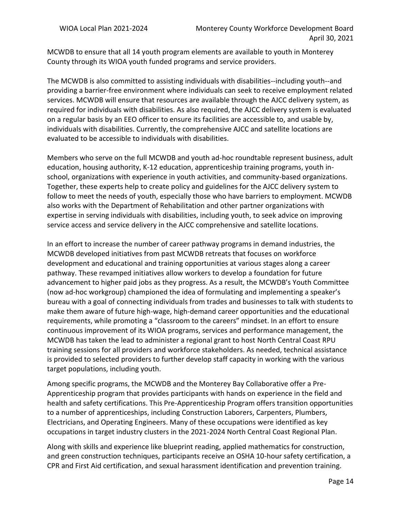MCWDB to ensure that all 14 youth program elements are available to youth in Monterey County through its WIOA youth funded programs and service providers.

The MCWDB is also committed to assisting individuals with disabilities--including youth--and providing a barrier-free environment where individuals can seek to receive employment related services. MCWDB will ensure that resources are available through the AJCC delivery system, as required for individuals with disabilities. As also required, the AJCC delivery system is evaluated on a regular basis by an EEO officer to ensure its facilities are accessible to, and usable by, individuals with disabilities. Currently, the comprehensive AJCC and satellite locations are evaluated to be accessible to individuals with disabilities.

Members who serve on the full MCWDB and youth ad-hoc roundtable represent business, adult education, housing authority, K-12 education, apprenticeship training programs, youth inschool, organizations with experience in youth activities, and community-based organizations. Together, these experts help to create policy and guidelines for the AJCC delivery system to follow to meet the needs of youth, especially those who have barriers to employment. MCWDB also works with the Department of Rehabilitation and other partner organizations with expertise in serving individuals with disabilities, including youth, to seek advice on improving service access and service delivery in the AJCC comprehensive and satellite locations.

In an effort to increase the number of career pathway programs in demand industries, the MCWDB developed initiatives from past MCWDB retreats that focuses on workforce development and educational and training opportunities at various stages along a career pathway. These revamped initiatives allow workers to develop a foundation for future advancement to higher paid jobs as they progress. As a result, the MCWDB's Youth Committee (now ad-hoc workgroup) championed the idea of formulating and implementing a speaker's bureau with a goal of connecting individuals from trades and businesses to talk with students to make them aware of future high-wage, high-demand career opportunities and the educational requirements, while promoting a "classroom to the careers" mindset. In an effort to ensure continuous improvement of its WIOA programs, services and performance management, the MCWDB has taken the lead to administer a regional grant to host North Central Coast RPU training sessions for all providers and workforce stakeholders. As needed, technical assistance is provided to selected providers to further develop staff capacity in working with the various target populations, including youth.

Among specific programs, the MCWDB and the Monterey Bay Collaborative offer a Pre-Apprenticeship program that provides participants with hands on experience in the field and health and safety certifications. This Pre-Apprenticeship Program offers transition opportunities to a number of apprenticeships, including Construction Laborers, Carpenters, Plumbers, Electricians, and Operating Engineers. Many of these occupations were identified as key occupations in target industry clusters in the 2021-2024 North Central Coast Regional Plan.

Along with skills and experience like blueprint reading, applied mathematics for construction, and green construction techniques, participants receive an OSHA 10-hour safety certification, a CPR and First Aid certification, and sexual harassment identification and prevention training.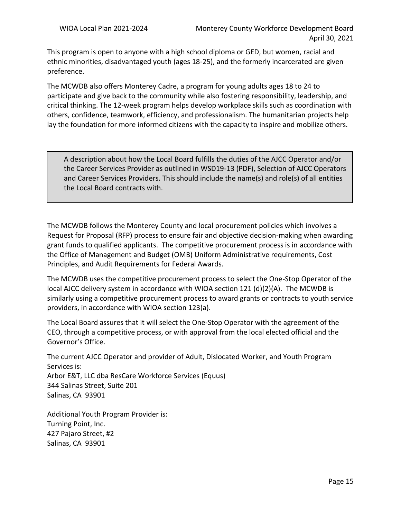This program is open to anyone with a high school diploma or GED, but women, racial and ethnic minorities, disadvantaged youth (ages 18-25), and the formerly incarcerated are given preference.

The MCWDB also offers Monterey Cadre, a program for young adults ages 18 to 24 to participate and give back to the community while also fostering responsibility, leadership, and critical thinking. The 12-week program helps develop workplace skills such as coordination with others, confidence, teamwork, efficiency, and professionalism. The humanitarian projects help lay the foundation for more informed citizens with the capacity to inspire and mobilize others.

A description about how the Local Board fulfills the duties of the AJCC Operator and/or the Career Services Provider as outlined in WSD19-13 (PDF), Selection of AJCC Operators and Career Services Providers. This should include the name(s) and role(s) of all entities the Local Board contracts with.

The MCWDB follows the Monterey County and local procurement policies which involves a Request for Proposal (RFP) process to ensure fair and objective decision-making when awarding grant funds to qualified applicants. The competitive procurement process is in accordance with the Office of Management and Budget (OMB) Uniform Administrative requirements, Cost Principles, and Audit Requirements for Federal Awards.

The MCWDB uses the competitive procurement process to select the One-Stop Operator of the local AJCC delivery system in accordance with WIOA section 121 (d)(2)(A). The MCWDB is similarly using a competitive procurement process to award grants or contracts to youth service providers, in accordance with WIOA section 123(a).

The Local Board assures that it will select the One-Stop Operator with the agreement of the CEO, through a competitive process, or with approval from the local elected official and the Governor's Office.

The current AJCC Operator and provider of Adult, Dislocated Worker, and Youth Program Services is: Arbor E&T, LLC dba ResCare Workforce Services (Equus)

344 Salinas Street, Suite 201 Salinas, CA 93901

Additional Youth Program Provider is: Turning Point, Inc. 427 Pajaro Street, #2 Salinas, CA 93901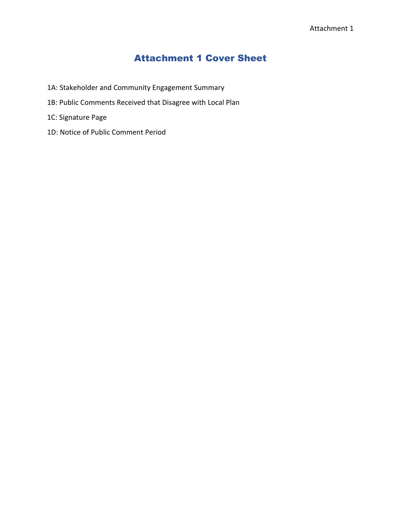## Attachment 1 Cover Sheet

- 1A: Stakeholder and Community Engagement Summary
- 1B: Public Comments Received that Disagree with Local Plan
- 1C: Signature Page
- 1D: Notice of Public Comment Period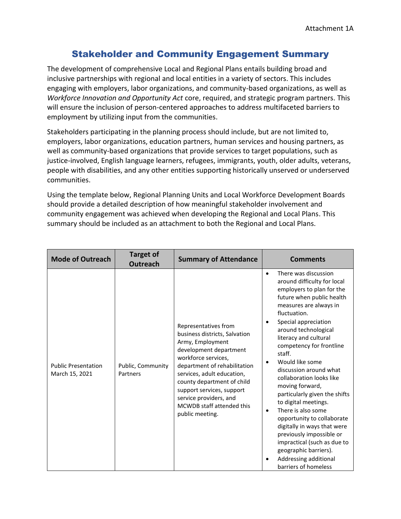### Stakeholder and Community Engagement Summary

The development of comprehensive Local and Regional Plans entails building broad and inclusive partnerships with regional and local entities in a variety of sectors. This includes engaging with employers, labor organizations, and community-based organizations, as well as *Workforce Innovation and Opportunity Act* core, required, and strategic program partners. This will ensure the inclusion of person-centered approaches to address multifaceted barriers to employment by utilizing input from the communities.

Stakeholders participating in the planning process should include, but are not limited to, employers, labor organizations, education partners, human services and housing partners, as well as community-based organizations that provide services to target populations, such as justice-involved, English language learners, refugees, immigrants, youth, older adults, veterans, people with disabilities, and any other entities supporting historically unserved or underserved communities.

Using the template below, Regional Planning Units and Local Workforce Development Boards should provide a detailed description of how meaningful stakeholder involvement and community engagement was achieved when developing the Regional and Local Plans. This summary should be included as an attachment to both the Regional and Local Plans.

| <b>Mode of Outreach</b>                      | <b>Target of</b><br><b>Outreach</b> | <b>Summary of Attendance</b>                                                                                                                                                                                                                                                                                                  | <b>Comments</b>                                                                                                                                                                                                                                                                                                                                                                                                                                                                                                                                                                                                                                                                                         |
|----------------------------------------------|-------------------------------------|-------------------------------------------------------------------------------------------------------------------------------------------------------------------------------------------------------------------------------------------------------------------------------------------------------------------------------|---------------------------------------------------------------------------------------------------------------------------------------------------------------------------------------------------------------------------------------------------------------------------------------------------------------------------------------------------------------------------------------------------------------------------------------------------------------------------------------------------------------------------------------------------------------------------------------------------------------------------------------------------------------------------------------------------------|
| <b>Public Presentation</b><br>March 15, 2021 | Public, Community<br>Partners       | Representatives from<br>business districts, Salvation<br>Army, Employment<br>development department<br>workforce services,<br>department of rehabilitation<br>services, adult education,<br>county department of child<br>support services, support<br>service providers, and<br>MCWDB staff attended this<br>public meeting. | There was discussion<br>$\bullet$<br>around difficulty for local<br>employers to plan for the<br>future when public health<br>measures are always in<br>fluctuation.<br>Special appreciation<br>$\bullet$<br>around technological<br>literacy and cultural<br>competency for frontline<br>staff.<br>Would like some<br>$\bullet$<br>discussion around what<br>collaboration looks like<br>moving forward,<br>particularly given the shifts<br>to digital meetings.<br>There is also some<br>$\bullet$<br>opportunity to collaborate<br>digitally in ways that were<br>previously impossible or<br>impractical (such as due to<br>geographic barriers).<br>Addressing additional<br>barriers of homeless |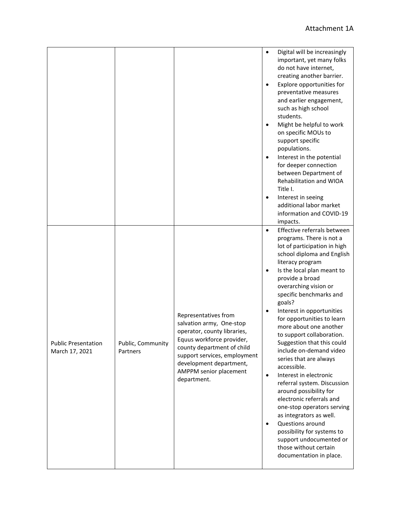|                                              |                               |                                                                                                                                                                                                                                                | $\bullet$<br>$\bullet$<br>$\bullet$<br>$\bullet$              | Digital will be increasingly<br>important, yet many folks<br>do not have internet,<br>creating another barrier.<br>Explore opportunities for<br>preventative measures<br>and earlier engagement,<br>such as high school<br>students.<br>Might be helpful to work<br>on specific MOUs to<br>support specific<br>populations.<br>Interest in the potential<br>for deeper connection<br>between Department of<br>Rehabilitation and WIOA<br>Title I.<br>Interest in seeing<br>additional labor market<br>information and COVID-19<br>impacts.                                                                                                                                                                                                                                            |
|----------------------------------------------|-------------------------------|------------------------------------------------------------------------------------------------------------------------------------------------------------------------------------------------------------------------------------------------|---------------------------------------------------------------|---------------------------------------------------------------------------------------------------------------------------------------------------------------------------------------------------------------------------------------------------------------------------------------------------------------------------------------------------------------------------------------------------------------------------------------------------------------------------------------------------------------------------------------------------------------------------------------------------------------------------------------------------------------------------------------------------------------------------------------------------------------------------------------|
| <b>Public Presentation</b><br>March 17, 2021 | Public, Community<br>Partners | Representatives from<br>salvation army, One-stop<br>operator, county libraries,<br>Equus workforce provider,<br>county department of child<br>support services, employment<br>development department,<br>AMPPM senior placement<br>department. | $\bullet$<br>$\bullet$<br>$\bullet$<br>$\bullet$<br>$\bullet$ | Effective referrals between<br>programs. There is not a<br>lot of participation in high<br>school diploma and English<br>literacy program<br>Is the local plan meant to<br>provide a broad<br>overarching vision or<br>specific benchmarks and<br>goals?<br>Interest in opportunities<br>for opportunities to learn<br>more about one another<br>to support collaboration.<br>Suggestion that this could<br>include on-demand video<br>series that are always<br>accessible.<br>Interest in electronic<br>referral system. Discussion<br>around possibility for<br>electronic referrals and<br>one-stop operators serving<br>as integrators as well.<br>Questions around<br>possibility for systems to<br>support undocumented or<br>those without certain<br>documentation in place. |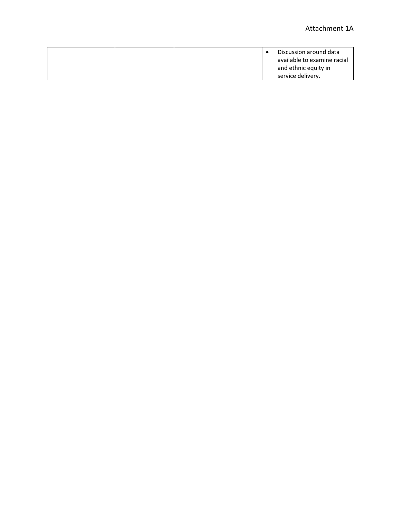|  | Discussion around data      |
|--|-----------------------------|
|  |                             |
|  | available to examine racial |
|  |                             |
|  |                             |
|  | and ethnic equity in        |
|  |                             |
|  | service delivery.           |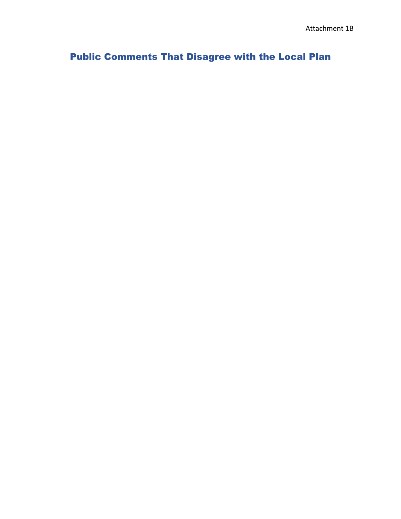# Public Comments That Disagree with the Local Plan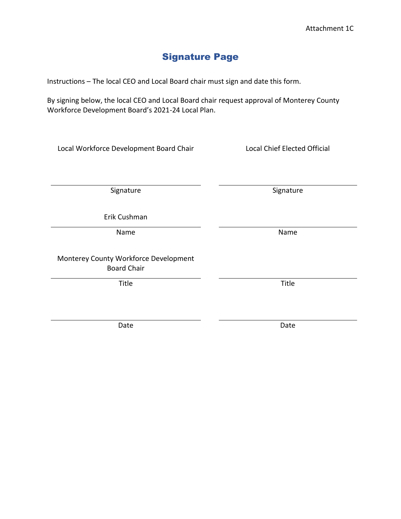# Signature Page

Instructions – The local CEO and Local Board chair must sign and date this form.

By signing below, the local CEO and Local Board chair request approval of Monterey County Workforce Development Board's 2021-24 Local Plan.

| Local Workforce Development Board Chair                     | <b>Local Chief Elected Official</b> |  |  |
|-------------------------------------------------------------|-------------------------------------|--|--|
|                                                             |                                     |  |  |
| Signature                                                   | Signature                           |  |  |
| Erik Cushman                                                |                                     |  |  |
| Name                                                        | Name                                |  |  |
| Monterey County Workforce Development<br><b>Board Chair</b> |                                     |  |  |
| Title                                                       | Title                               |  |  |
|                                                             |                                     |  |  |
| Date                                                        | Date                                |  |  |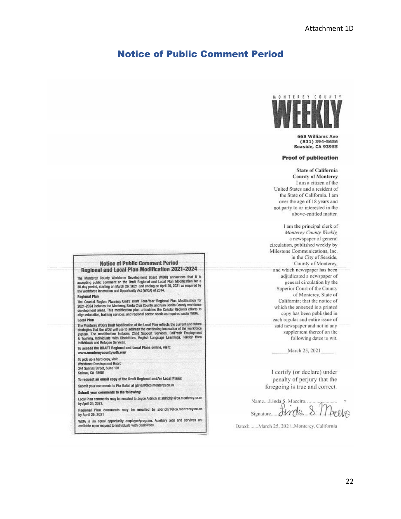#### Notice of Public Comment Period



**668 Williams Ave** (831) 394-5656 **Seaside, CA 93955** 

#### **Proof of publication**

**State of California County of Monterey** I am a citizen of the United States and a resident of the State of California. 1 am over the age of 18 years and not party to or interested in the above-entitled matter.

I am the principal clerk of Monterey County Weekly, a newspaper of general circulation, published weekly by Milestone Communications, Inc. in the City of Seaside, County of Monterey, and which newspaper has been adjudicated a newspaper of general circulation by the Superior Court of the County of Monterey, State of California; that the notice of which the annexed is a printed copy has been published in each regular and entire issue of said newspaper and not in any supplement thereof on the following dates to wit.

March 25, 2021

I certify (or declare) under penalty of perjury that the foregoing is true and correct.

Name....Linda S. Maceira...  $8$ Jimola 11 belles Signature.....

Dated:......March 25, 2021..Monterey, California

#### **Notice of Public Comment Period Regional and Local Plan Modification 2021-2024**

The Monterey County Worldorce Development Board (WDB) announces that it is The monument control of the Draft Regional and Local Plan Modification for a 30-day period, starting on March 26, 2021 and ending on April 25, 2021 as required by<br>the Workforce Innovation and Opportunity Act (WIOA) of 2014

**Regional Plan** 

The Coastal Region Planning Unit's Draft Four-Year Regional Plan Modification for<br>2021-2024 includes the Monterey, Santa Cruz County, and San Benito County workforce<br>development areas. This modification plan articulates th align education, training services, and regional sector needs as required under WIOA. Local Plan

Local Plan<br>The Monterey WDB's Draft Medification of the Local Plan reflects the current and future<br>strategies that the WDB will use to address the continuing Innovation of the workforce<br>system. The modification includes Ch Individuals and Refugee Services.

To access the DRAFT Regional and Local Plans online, visit: www.montereycountywdb.org/

To pick up a hard copy, visit: Workforce Development Board 344 Salinas Street, Suite 101 Salinas, CA 93901

To request an email copy of the Draft Regional and/or Local Plans:

Submit your comments to Flor Galan at galvanf@co.monterey.ca.us

Submit your comments to the following:

Local Plan comments may be emailed to Joyce Aldrich at aldrichi1@co.monterey.ca.us by April 25, 2021.

Regional Plan comments may be emailed to aldrichj1@co.monterey.ca.us by April 25, 2021

which is an equal opportunity employer/program. Auxiliary aids and services are available upon request to individuals with disabilities.